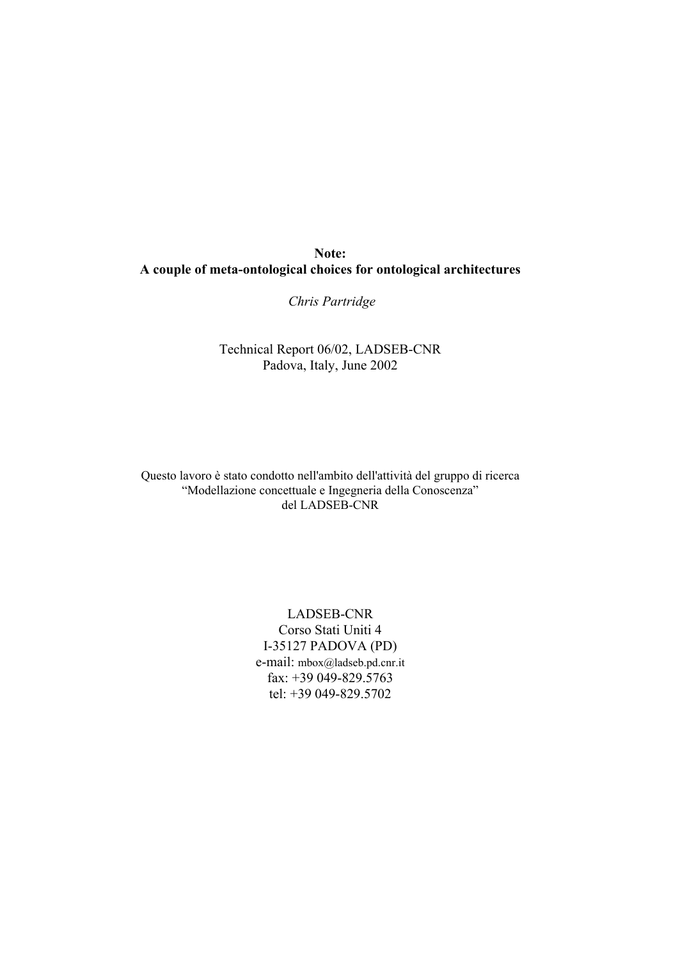*Chris Partridge* 

Technical Report 06/02, LADSEB-CNR Padova, Italy, June 2002

Questo lavoro è stato condotto nell'ambito dell'attività del gruppo di ricerca "Modellazione concettuale e Ingegneria della Conoscenza" del LADSEB-CNR

> LADSEB-CNR Corso Stati Uniti 4 I-35127 PADOVA (PD) e-mail: mbox@ladseb.pd.cnr.it fax: +39 049-829.5763 tel: +39 049-829.5702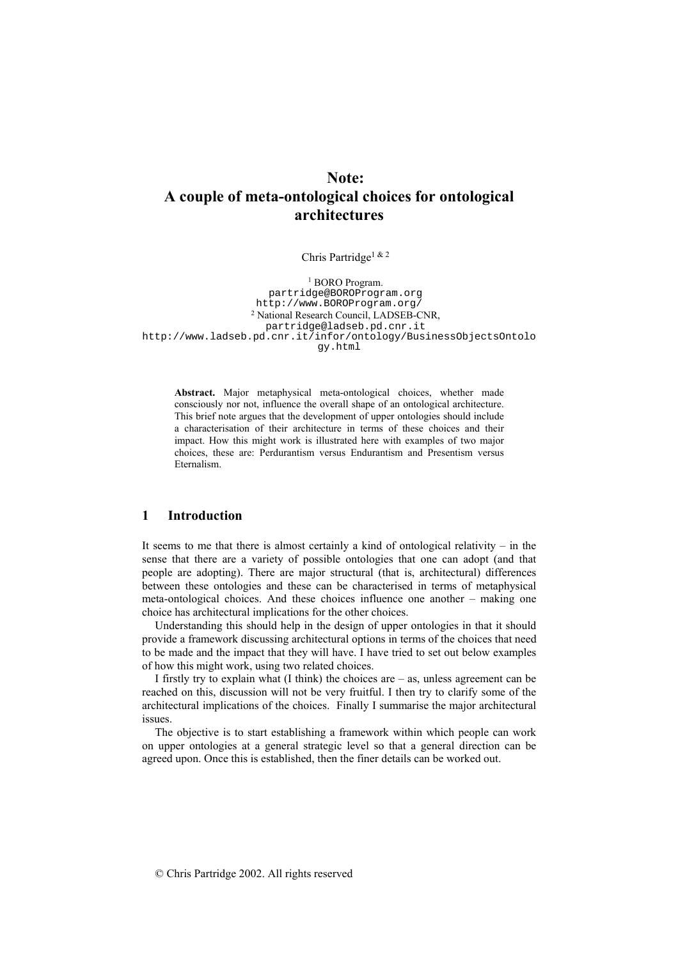Chris Partridge1 & 2

<sup>1</sup> BORO Program. partridge@BOROProgram.org http://www.BOROProgram.org/ 2 National Research Council, LADSEB-CNR, partridge@ladseb.pd.cnr.it http://www.ladseb.pd.cnr.it/infor/ontology/BusinessObjectsOntolo gy.html

**Abstract.** Major metaphysical meta-ontological choices, whether made consciously nor not, influence the overall shape of an ontological architecture. This brief note argues that the development of upper ontologies should include a characterisation of their architecture in terms of these choices and their impact. How this might work is illustrated here with examples of two major choices, these are: Perdurantism versus Endurantism and Presentism versus Eternalism.

# **1 Introduction**

It seems to me that there is almost certainly a kind of ontological relativity  $-$  in the sense that there are a variety of possible ontologies that one can adopt (and that people are adopting). There are major structural (that is, architectural) differences between these ontologies and these can be characterised in terms of metaphysical meta-ontological choices. And these choices influence one another – making one choice has architectural implications for the other choices.

Understanding this should help in the design of upper ontologies in that it should provide a framework discussing architectural options in terms of the choices that need to be made and the impact that they will have. I have tried to set out below examples of how this might work, using two related choices.

I firstly try to explain what  $(I \text{ think})$  the choices are  $-$  as, unless agreement can be reached on this, discussion will not be very fruitful. I then try to clarify some of the architectural implications of the choices. Finally I summarise the major architectural issues.

The objective is to start establishing a framework within which people can work on upper ontologies at a general strategic level so that a general direction can be agreed upon. Once this is established, then the finer details can be worked out.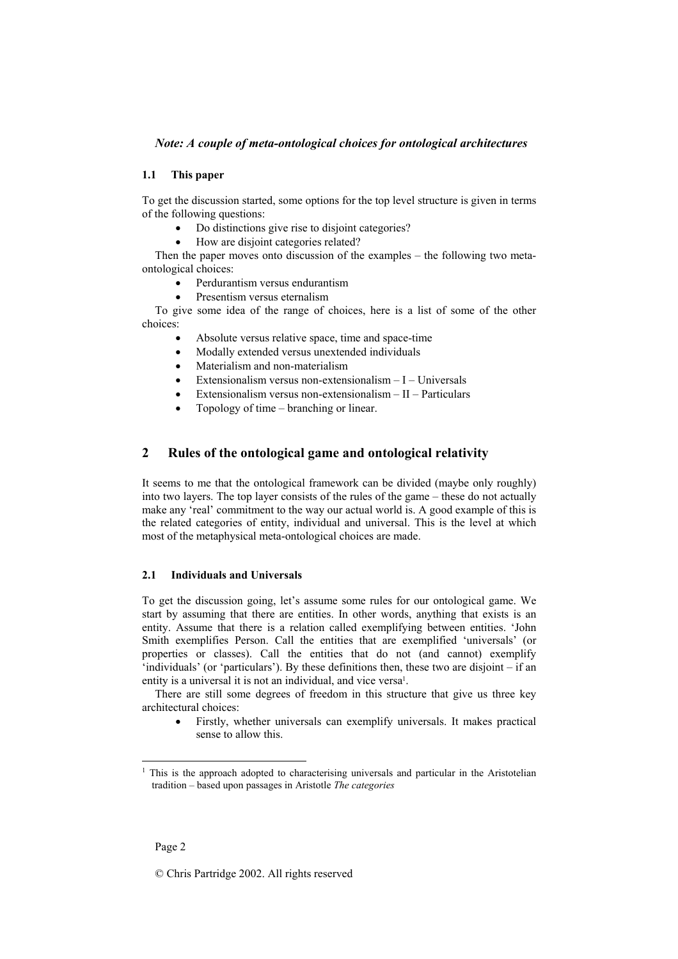### **1.1 This paper**

To get the discussion started, some options for the top level structure is given in terms of the following questions:

- Do distinctions give rise to disjoint categories?
- How are disjoint categories related?

Then the paper moves onto discussion of the examples – the following two metaontological choices:

- Perdurantism versus endurantism
- Presentism versus eternalism

To give some idea of the range of choices, here is a list of some of the other choices:

- Absolute versus relative space, time and space-time
- Modally extended versus unextended individuals
- Materialism and non-materialism
- Extensionalism versus non-extensionalism  $-I-U$ niversals
- Extensionalism versus non-extensionalism  $-II$  Particulars
- Topology of time branching or linear.

# **2 Rules of the ontological game and ontological relativity**

It seems to me that the ontological framework can be divided (maybe only roughly) into two layers. The top layer consists of the rules of the game – these do not actually make any 'real' commitment to the way our actual world is. A good example of this is the related categories of entity, individual and universal. This is the level at which most of the metaphysical meta-ontological choices are made.

#### **2.1 Individuals and Universals**

To get the discussion going, let's assume some rules for our ontological game. We start by assuming that there are entities. In other words, anything that exists is an entity. Assume that there is a relation called exemplifying between entities. 'John Smith exemplifies Person. Call the entities that are exemplified 'universals' (or properties or classes). Call the entities that do not (and cannot) exemplify 'individuals' (or 'particulars'). By these definitions then, these two are disjoint – if an entity is a universal it is not an individual, and vice versa<sup>1</sup>.

There are still some degrees of freedom in this structure that give us three key architectural choices:

• Firstly, whether universals can exemplify universals. It makes practical sense to allow this.

l

<sup>&</sup>lt;sup>1</sup> This is the approach adopted to characterising universals and particular in the Aristotelian tradition – based upon passages in Aristotle *The categories*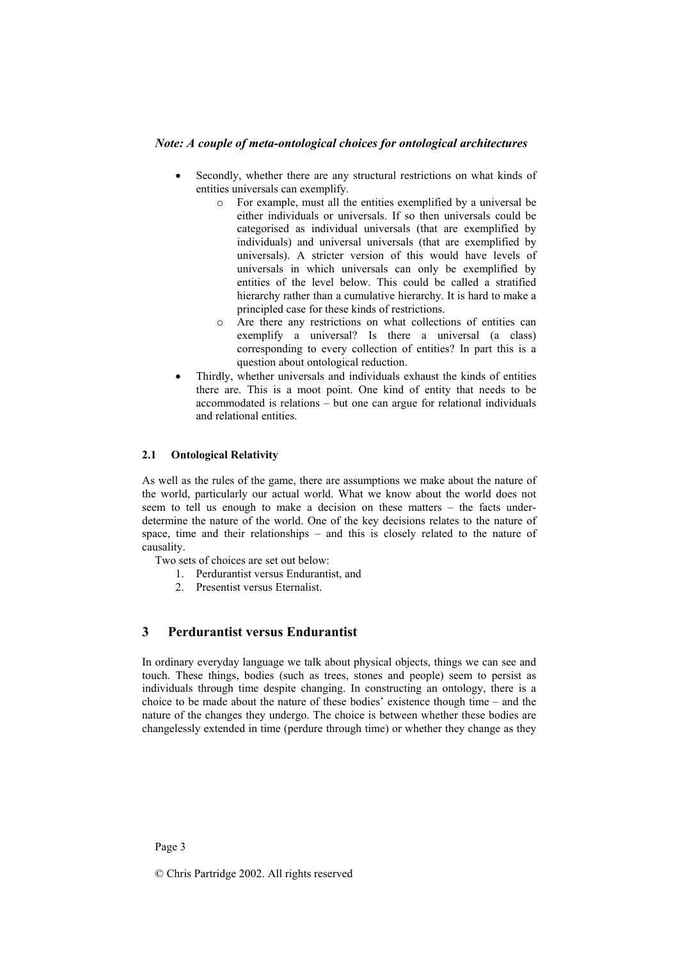- Secondly, whether there are any structural restrictions on what kinds of entities universals can exemplify.
	- o For example, must all the entities exemplified by a universal be either individuals or universals. If so then universals could be categorised as individual universals (that are exemplified by individuals) and universal universals (that are exemplified by universals). A stricter version of this would have levels of universals in which universals can only be exemplified by entities of the level below. This could be called a stratified hierarchy rather than a cumulative hierarchy. It is hard to make a principled case for these kinds of restrictions.
	- o Are there any restrictions on what collections of entities can exemplify a universal? Is there a universal (a class) corresponding to every collection of entities? In part this is a question about ontological reduction.
- Thirdly, whether universals and individuals exhaust the kinds of entities there are. This is a moot point. One kind of entity that needs to be accommodated is relations – but one can argue for relational individuals and relational entities.

### **2.1 Ontological Relativity**

As well as the rules of the game, there are assumptions we make about the nature of the world, particularly our actual world. What we know about the world does not seem to tell us enough to make a decision on these matters – the facts underdetermine the nature of the world. One of the key decisions relates to the nature of space, time and their relationships – and this is closely related to the nature of causality.

Two sets of choices are set out below:

- 1. Perdurantist versus Endurantist, and
- 2. Presentist versus Eternalist.

# **3 Perdurantist versus Endurantist**

In ordinary everyday language we talk about physical objects, things we can see and touch. These things, bodies (such as trees, stones and people) seem to persist as individuals through time despite changing. In constructing an ontology, there is a choice to be made about the nature of these bodies' existence though time – and the nature of the changes they undergo. The choice is between whether these bodies are changelessly extended in time (perdure through time) or whether they change as they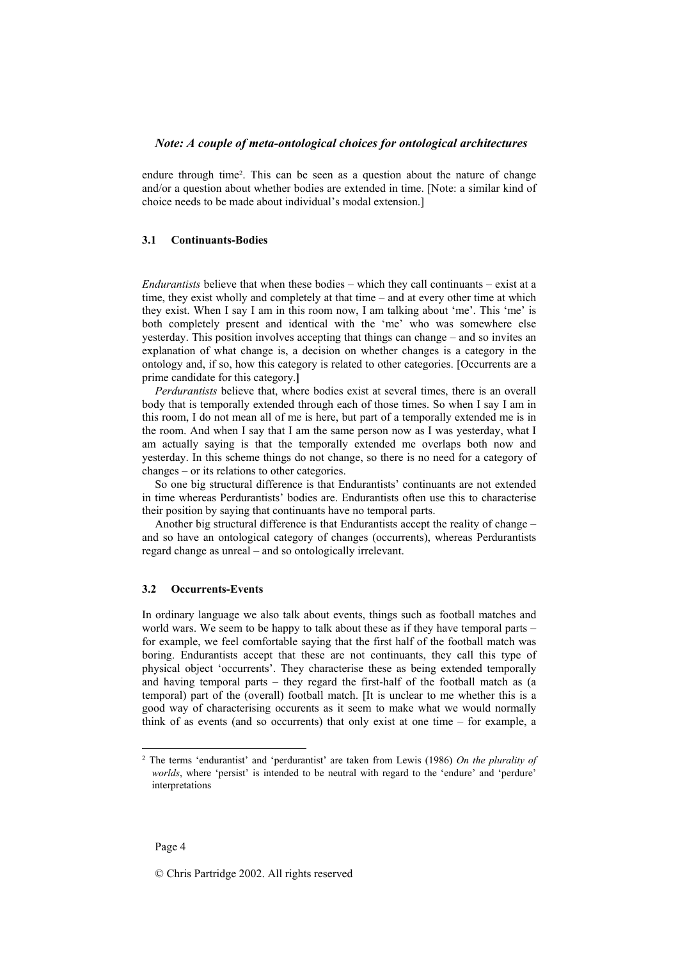endure through time<sup>2</sup>. This can be seen as a question about the nature of change and/or a question about whether bodies are extended in time. [Note: a similar kind of choice needs to be made about individual's modal extension.]

#### **3.1 Continuants-Bodies**

*Endurantists* believe that when these bodies – which they call continuants – exist at a time, they exist wholly and completely at that time – and at every other time at which they exist. When I say I am in this room now, I am talking about 'me'. This 'me' is both completely present and identical with the 'me' who was somewhere else yesterday. This position involves accepting that things can change – and so invites an explanation of what change is, a decision on whether changes is a category in the ontology and, if so, how this category is related to other categories. [Occurrents are a prime candidate for this category.**]** 

*Perdurantists* believe that, where bodies exist at several times, there is an overall body that is temporally extended through each of those times. So when I say I am in this room, I do not mean all of me is here, but part of a temporally extended me is in the room. And when I say that I am the same person now as I was yesterday, what I am actually saying is that the temporally extended me overlaps both now and yesterday. In this scheme things do not change, so there is no need for a category of changes – or its relations to other categories.

So one big structural difference is that Endurantists' continuants are not extended in time whereas Perdurantists' bodies are. Endurantists often use this to characterise their position by saying that continuants have no temporal parts.

Another big structural difference is that Endurantists accept the reality of change – and so have an ontological category of changes (occurrents), whereas Perdurantists regard change as unreal – and so ontologically irrelevant.

#### **3.2 Occurrents-Events**

In ordinary language we also talk about events, things such as football matches and world wars. We seem to be happy to talk about these as if they have temporal parts – for example, we feel comfortable saying that the first half of the football match was boring. Endurantists accept that these are not continuants, they call this type of physical object 'occurrents'. They characterise these as being extended temporally and having temporal parts – they regard the first-half of the football match as (a temporal) part of the (overall) football match. [It is unclear to me whether this is a good way of characterising occurents as it seem to make what we would normally think of as events (and so occurrents) that only exist at one time – for example, a

l

<sup>2</sup> The terms 'endurantist' and 'perdurantist' are taken from Lewis (1986) *On the plurality of worlds*, where 'persist' is intended to be neutral with regard to the 'endure' and 'perdure' interpretations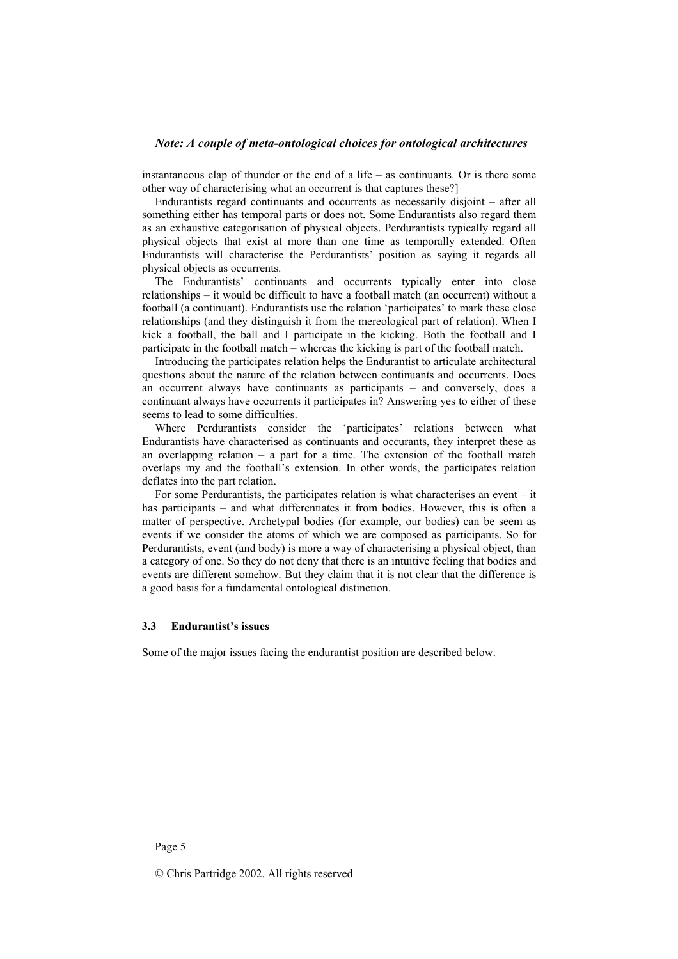instantaneous clap of thunder or the end of a life – as continuants. Or is there some other way of characterising what an occurrent is that captures these?]

Endurantists regard continuants and occurrents as necessarily disjoint – after all something either has temporal parts or does not. Some Endurantists also regard them as an exhaustive categorisation of physical objects. Perdurantists typically regard all physical objects that exist at more than one time as temporally extended. Often Endurantists will characterise the Perdurantists' position as saying it regards all physical objects as occurrents.

The Endurantists' continuants and occurrents typically enter into close relationships – it would be difficult to have a football match (an occurrent) without a football (a continuant). Endurantists use the relation 'participates' to mark these close relationships (and they distinguish it from the mereological part of relation). When I kick a football, the ball and I participate in the kicking. Both the football and I participate in the football match – whereas the kicking is part of the football match.

Introducing the participates relation helps the Endurantist to articulate architectural questions about the nature of the relation between continuants and occurrents. Does an occurrent always have continuants as participants – and conversely, does a continuant always have occurrents it participates in? Answering yes to either of these seems to lead to some difficulties.

Where Perdurantists consider the 'participates' relations between what Endurantists have characterised as continuants and occurants, they interpret these as an overlapping relation – a part for a time. The extension of the football match overlaps my and the football's extension. In other words, the participates relation deflates into the part relation.

For some Perdurantists, the participates relation is what characterises an event – it has participants – and what differentiates it from bodies. However, this is often a matter of perspective. Archetypal bodies (for example, our bodies) can be seem as events if we consider the atoms of which we are composed as participants. So for Perdurantists, event (and body) is more a way of characterising a physical object, than a category of one. So they do not deny that there is an intuitive feeling that bodies and events are different somehow. But they claim that it is not clear that the difference is a good basis for a fundamental ontological distinction.

#### **3.3 Endurantist's issues**

Some of the major issues facing the endurantist position are described below.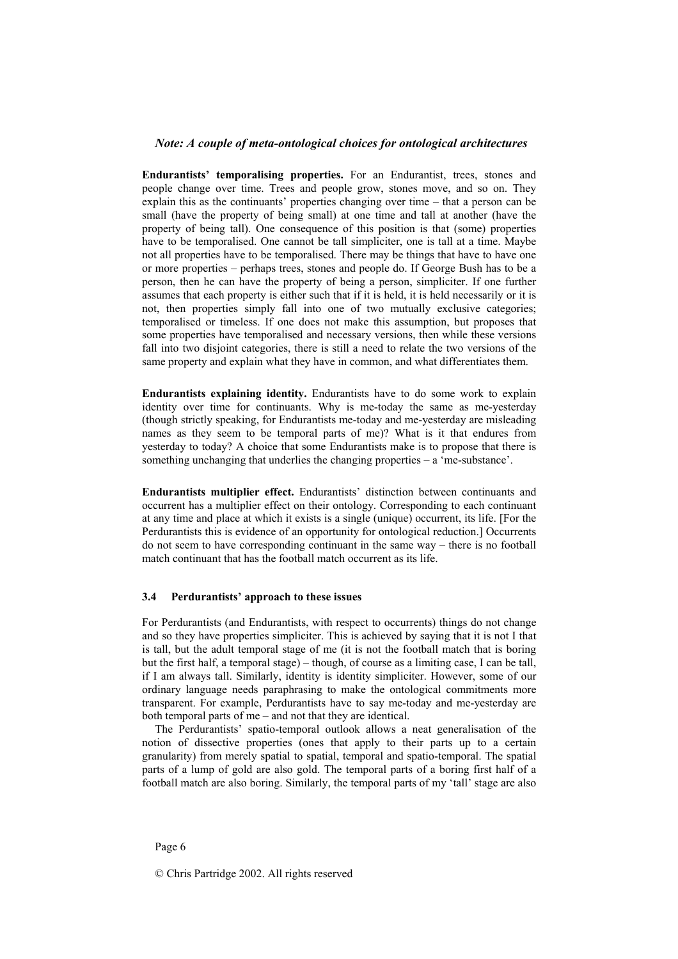**Endurantists' temporalising properties.** For an Endurantist, trees, stones and people change over time. Trees and people grow, stones move, and so on. They explain this as the continuants' properties changing over time – that a person can be small (have the property of being small) at one time and tall at another (have the property of being tall). One consequence of this position is that (some) properties have to be temporalised. One cannot be tall simpliciter, one is tall at a time. Maybe not all properties have to be temporalised. There may be things that have to have one or more properties – perhaps trees, stones and people do. If George Bush has to be a person, then he can have the property of being a person, simpliciter. If one further assumes that each property is either such that if it is held, it is held necessarily or it is not, then properties simply fall into one of two mutually exclusive categories; temporalised or timeless. If one does not make this assumption, but proposes that some properties have temporalised and necessary versions, then while these versions fall into two disjoint categories, there is still a need to relate the two versions of the same property and explain what they have in common, and what differentiates them.

**Endurantists explaining identity.** Endurantists have to do some work to explain identity over time for continuants. Why is me-today the same as me-yesterday (though strictly speaking, for Endurantists me-today and me-yesterday are misleading names as they seem to be temporal parts of me)? What is it that endures from yesterday to today? A choice that some Endurantists make is to propose that there is something unchanging that underlies the changing properties – a 'me-substance'.

**Endurantists multiplier effect.** Endurantists' distinction between continuants and occurrent has a multiplier effect on their ontology. Corresponding to each continuant at any time and place at which it exists is a single (unique) occurrent, its life. [For the Perdurantists this is evidence of an opportunity for ontological reduction.] Occurrents do not seem to have corresponding continuant in the same way – there is no football match continuant that has the football match occurrent as its life.

#### **3.4 Perdurantists' approach to these issues**

For Perdurantists (and Endurantists, with respect to occurrents) things do not change and so they have properties simpliciter. This is achieved by saying that it is not I that is tall, but the adult temporal stage of me (it is not the football match that is boring but the first half, a temporal stage) – though, of course as a limiting case, I can be tall, if I am always tall. Similarly, identity is identity simpliciter. However, some of our ordinary language needs paraphrasing to make the ontological commitments more transparent. For example, Perdurantists have to say me-today and me-yesterday are both temporal parts of me – and not that they are identical.

The Perdurantists' spatio-temporal outlook allows a neat generalisation of the notion of dissective properties (ones that apply to their parts up to a certain granularity) from merely spatial to spatial, temporal and spatio-temporal. The spatial parts of a lump of gold are also gold. The temporal parts of a boring first half of a football match are also boring. Similarly, the temporal parts of my 'tall' stage are also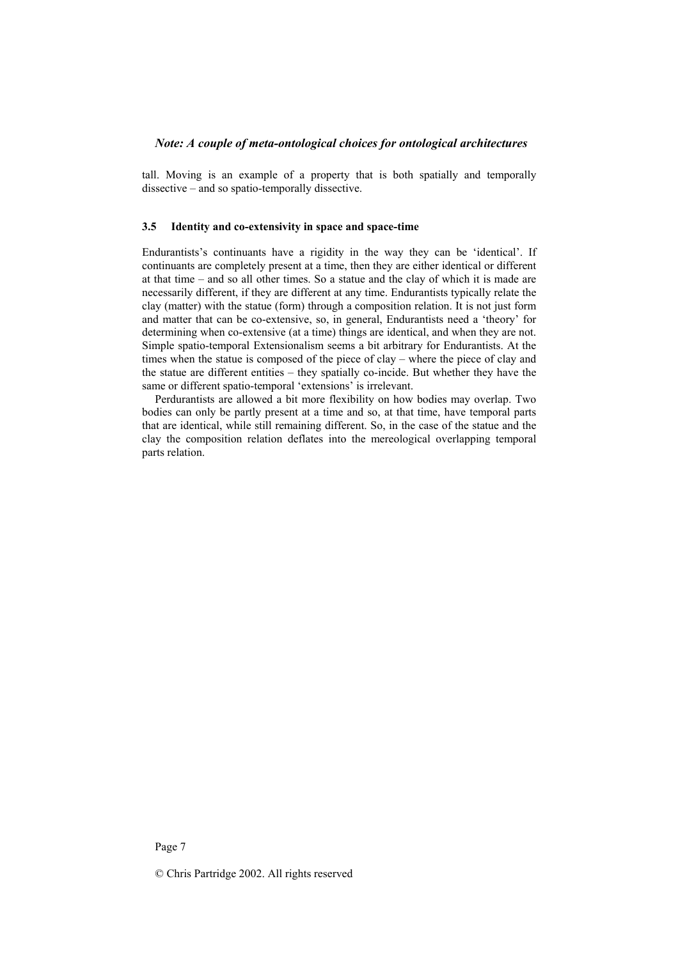tall. Moving is an example of a property that is both spatially and temporally dissective – and so spatio-temporally dissective.

#### **3.5 Identity and co-extensivity in space and space-time**

Endurantists's continuants have a rigidity in the way they can be 'identical'. If continuants are completely present at a time, then they are either identical or different at that time – and so all other times. So a statue and the clay of which it is made are necessarily different, if they are different at any time. Endurantists typically relate the clay (matter) with the statue (form) through a composition relation. It is not just form and matter that can be co-extensive, so, in general, Endurantists need a 'theory' for determining when co-extensive (at a time) things are identical, and when they are not. Simple spatio-temporal Extensionalism seems a bit arbitrary for Endurantists. At the times when the statue is composed of the piece of clay – where the piece of clay and the statue are different entities – they spatially co-incide. But whether they have the same or different spatio-temporal 'extensions' is irrelevant.

Perdurantists are allowed a bit more flexibility on how bodies may overlap. Two bodies can only be partly present at a time and so, at that time, have temporal parts that are identical, while still remaining different. So, in the case of the statue and the clay the composition relation deflates into the mereological overlapping temporal parts relation.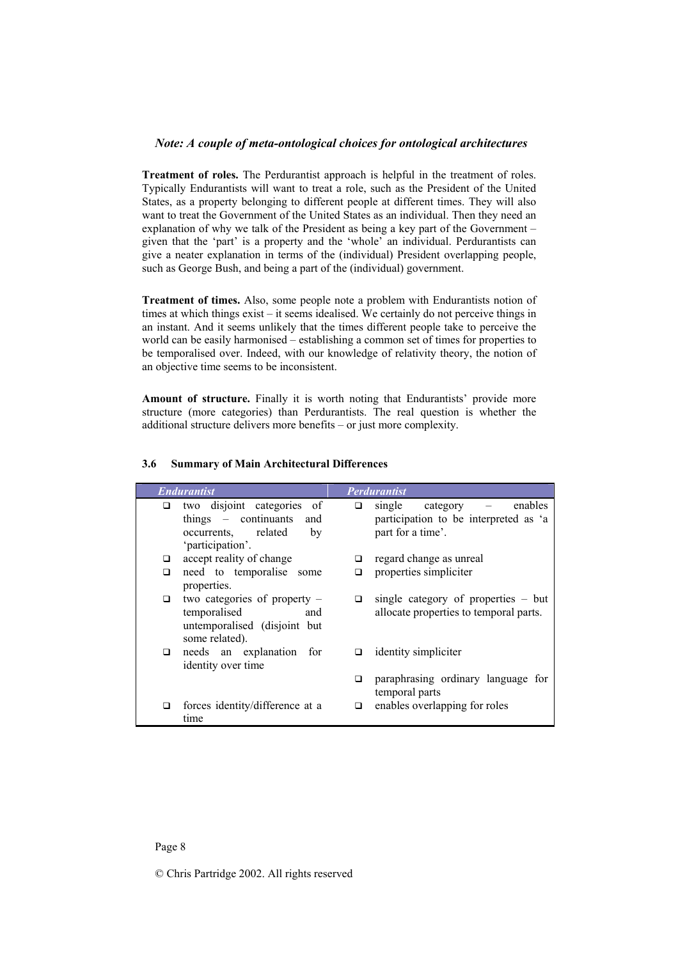**Treatment of roles.** The Perdurantist approach is helpful in the treatment of roles. Typically Endurantists will want to treat a role, such as the President of the United States, as a property belonging to different people at different times. They will also want to treat the Government of the United States as an individual. Then they need an explanation of why we talk of the President as being a key part of the Government – given that the 'part' is a property and the 'whole' an individual. Perdurantists can give a neater explanation in terms of the (individual) President overlapping people, such as George Bush, and being a part of the (individual) government.

**Treatment of times.** Also, some people note a problem with Endurantists notion of times at which things exist – it seems idealised. We certainly do not perceive things in an instant. And it seems unlikely that the times different people take to perceive the world can be easily harmonised – establishing a common set of times for properties to be temporalised over. Indeed, with our knowledge of relativity theory, the notion of an objective time seems to be inconsistent.

**Amount of structure.** Finally it is worth noting that Endurantists' provide more structure (more categories) than Perdurantists. The real question is whether the additional structure delivers more benefits – or just more complexity.

| <b>Endurantist</b> |                                                                                                         | <b>Perdurantist</b> |                                                                                          |
|--------------------|---------------------------------------------------------------------------------------------------------|---------------------|------------------------------------------------------------------------------------------|
| □                  | two disjoint categories of<br>things – continuants and<br>occurrents, related<br>by<br>'participation'. | □                   | single category<br>enables<br>participation to be interpreted as 'a<br>part for a time'. |
| □                  | accept reality of change                                                                                | □                   | regard change as unreal                                                                  |
| □                  | need to temporalise<br>some<br>properties.                                                              | □                   | properties simpliciter                                                                   |
| □                  | two categories of property -<br>temporalised<br>and<br>untemporalised (disjoint but<br>some related).   | ◻                   | single category of properties $-$ but<br>allocate properties to temporal parts.          |
| □                  | needs an explanation for<br>identity over time                                                          | ◻                   | identity simpliciter                                                                     |
|                    |                                                                                                         | ◻                   | paraphrasing ordinary language for<br>temporal parts                                     |
| □                  | forces identity/difference at a<br>time                                                                 | ◻                   | enables overlapping for roles                                                            |

#### **3.6 Summary of Main Architectural Differences**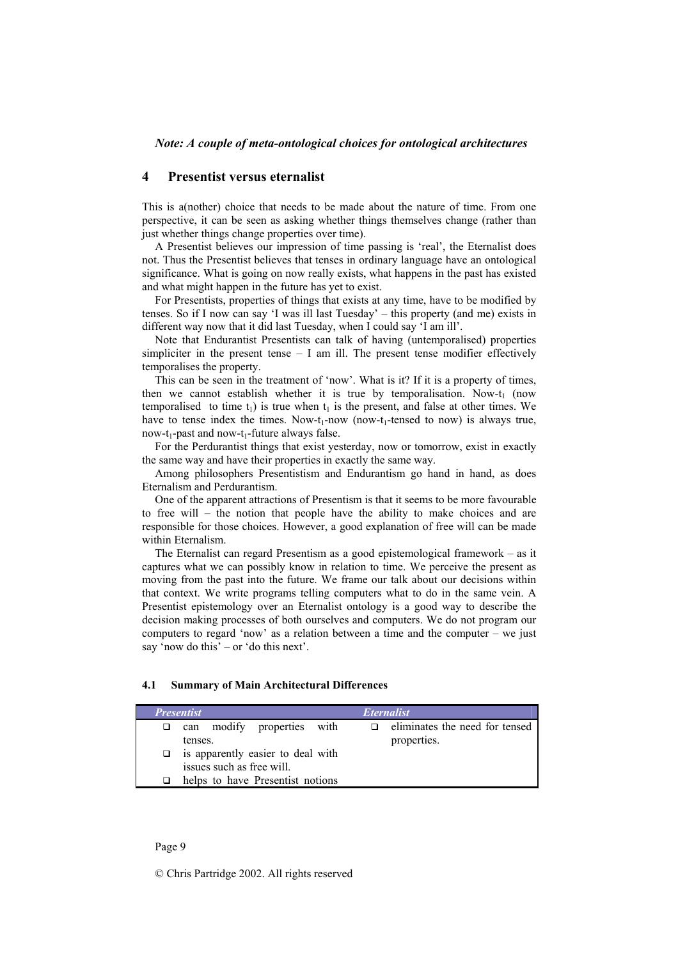### **4 Presentist versus eternalist**

This is a(nother) choice that needs to be made about the nature of time. From one perspective, it can be seen as asking whether things themselves change (rather than just whether things change properties over time).

A Presentist believes our impression of time passing is 'real', the Eternalist does not. Thus the Presentist believes that tenses in ordinary language have an ontological significance. What is going on now really exists, what happens in the past has existed and what might happen in the future has yet to exist.

For Presentists, properties of things that exists at any time, have to be modified by tenses. So if I now can say 'I was ill last Tuesday' – this property (and me) exists in different way now that it did last Tuesday, when I could say 'I am ill'.

Note that Endurantist Presentists can talk of having (untemporalised) properties simpliciter in the present tense  $- I$  am ill. The present tense modifier effectively temporalises the property.

This can be seen in the treatment of 'now'. What is it? If it is a property of times, then we cannot establish whether it is true by temporalisation. Now-t<sub>1</sub> (now temporalised to time  $t_1$ ) is true when  $t_1$  is the present, and false at other times. We have to tense index the times. Now-t<sub>1</sub>-now (now-t<sub>1</sub>-tensed to now) is always true,  $now-t_1-past$  and  $now-t_1-future$  always false.

For the Perdurantist things that exist yesterday, now or tomorrow, exist in exactly the same way and have their properties in exactly the same way.

Among philosophers Presentistism and Endurantism go hand in hand, as does Eternalism and Perdurantism.

One of the apparent attractions of Presentism is that it seems to be more favourable to free will – the notion that people have the ability to make choices and are responsible for those choices. However, a good explanation of free will can be made within Eternalism.

The Eternalist can regard Presentism as a good epistemological framework – as it captures what we can possibly know in relation to time. We perceive the present as moving from the past into the future. We frame our talk about our decisions within that context. We write programs telling computers what to do in the same vein. A Presentist epistemology over an Eternalist ontology is a good way to describe the decision making processes of both ourselves and computers. We do not program our computers to regard 'now' as a relation between a time and the computer – we just say 'now do this' – or 'do this next'.

## **4.1 Summary of Main Architectural Differences**

| <b>Presentist</b> |                                   | <i>Eternalist</i> |                                |
|-------------------|-----------------------------------|-------------------|--------------------------------|
| □                 | modify properties with<br>can     |                   | eliminates the need for tensed |
|                   | tenses.                           |                   | properties.                    |
| □                 | is apparently easier to deal with |                   |                                |
|                   | issues such as free will.         |                   |                                |
|                   | helps to have Presentist notions  |                   |                                |
|                   |                                   |                   |                                |

Page 9